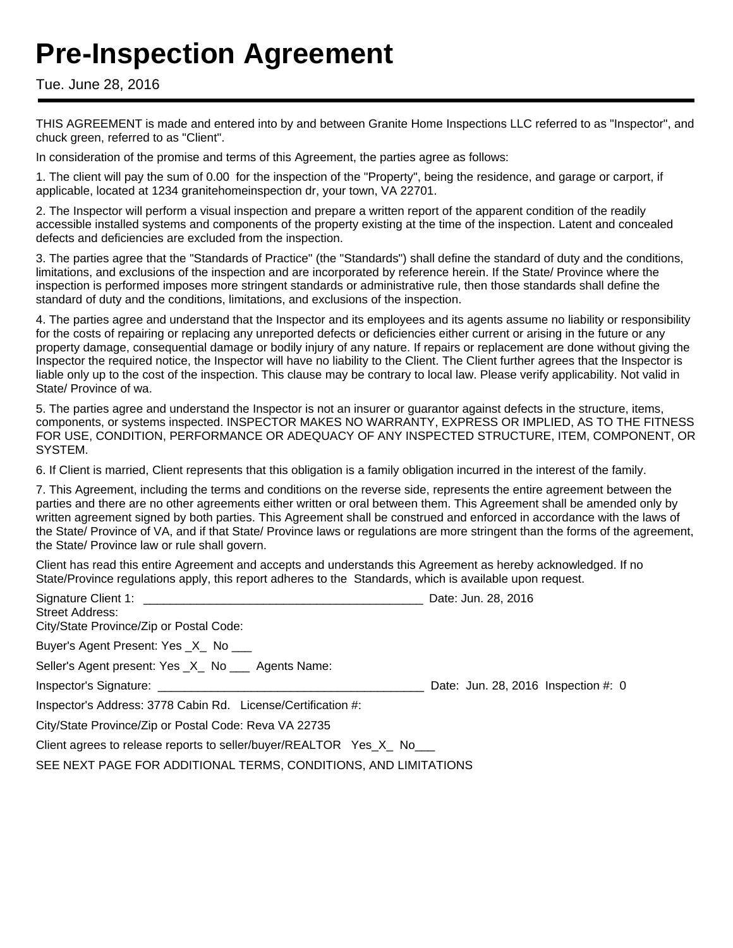# **Pre-Inspection Agreement**

#### Tue. June 28, 2016

THIS AGREEMENT is made and entered into by and between Granite Home Inspections LLC referred to as "Inspector", and chuck green, referred to as "Client".

In consideration of the promise and terms of this Agreement, the parties agree as follows:

1. The client will pay the sum of 0.00 for the inspection of the "Property", being the residence, and garage or carport, if applicable, located at 1234 granitehomeinspection dr, your town, VA 22701.

2. The Inspector will perform a visual inspection and prepare a written report of the apparent condition of the readily accessible installed systems and components of the property existing at the time of the inspection. Latent and concealed defects and deficiencies are excluded from the inspection.

3. The parties agree that the "Standards of Practice" (the "Standards") shall define the standard of duty and the conditions, limitations, and exclusions of the inspection and are incorporated by reference herein. If the State/ Province where the inspection is performed imposes more stringent standards or administrative rule, then those standards shall define the standard of duty and the conditions, limitations, and exclusions of the inspection.

4. The parties agree and understand that the Inspector and its employees and its agents assume no liability or responsibility for the costs of repairing or replacing any unreported defects or deficiencies either current or arising in the future or any property damage, consequential damage or bodily injury of any nature. If repairs or replacement are done without giving the Inspector the required notice, the Inspector will have no liability to the Client. The Client further agrees that the Inspector is liable only up to the cost of the inspection. This clause may be contrary to local law. Please verify applicability. Not valid in State/ Province of wa.

5. The parties agree and understand the Inspector is not an insurer or guarantor against defects in the structure, items, components, or systems inspected. INSPECTOR MAKES NO WARRANTY, EXPRESS OR IMPLIED, AS TO THE FITNESS FOR USE, CONDITION, PERFORMANCE OR ADEQUACY OF ANY INSPECTED STRUCTURE, ITEM, COMPONENT, OR SYSTEM.

6. If Client is married, Client represents that this obligation is a family obligation incurred in the interest of the family.

7. This Agreement, including the terms and conditions on the reverse side, represents the entire agreement between the parties and there are no other agreements either written or oral between them. This Agreement shall be amended only by written agreement signed by both parties. This Agreement shall be construed and enforced in accordance with the laws of the State/ Province of VA, and if that State/ Province laws or regulations are more stringent than the forms of the agreement, the State/ Province law or rule shall govern.

Client has read this entire Agreement and accepts and understands this Agreement as hereby acknowledged. If no State/Province regulations apply, this report adheres to the Standards, which is available upon request.

| Street Address:<br>City/State Province/Zip or Postal Code:        | Date: Jun. 28, 2016                 |
|-------------------------------------------------------------------|-------------------------------------|
| Buyer's Agent Present: Yes _X_ No ___                             |                                     |
| Seller's Agent present: Yes _X_ No ___ Agents Name:               |                                     |
|                                                                   | Date: Jun. 28, 2016 Inspection #: 0 |
| Inspector's Address: 3778 Cabin Rd. License/Certification #:      |                                     |
| City/State Province/Zip or Postal Code: Reva VA 22735             |                                     |
| Client agrees to release reports to seller/buyer/REALTOR Yes X No |                                     |
| SEE NEXT PAGE FOR ADDITIONAL TERMS, CONDITIONS, AND LIMITATIONS   |                                     |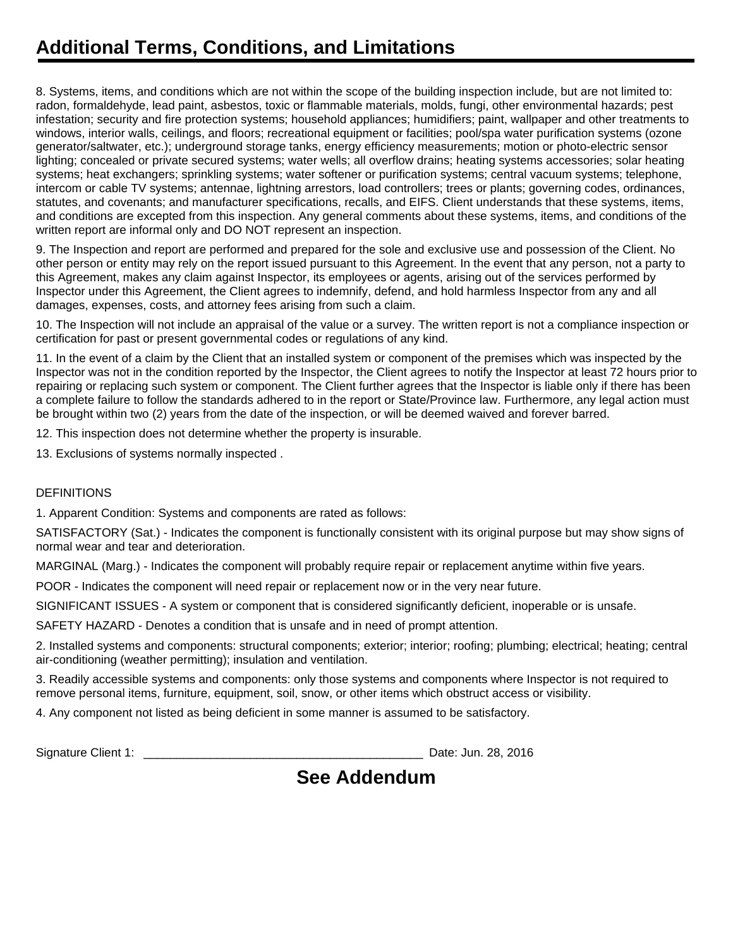## **Additional Terms, Conditions, and Limitations**

8. Systems, items, and conditions which are not within the scope of the building inspection include, but are not limited to: radon, formaldehyde, lead paint, asbestos, toxic or flammable materials, molds, fungi, other environmental hazards; pest infestation; security and fire protection systems; household appliances; humidifiers; paint, wallpaper and other treatments to windows, interior walls, ceilings, and floors; recreational equipment or facilities; pool/spa water purification systems (ozone generator/saltwater, etc.); underground storage tanks, energy efficiency measurements; motion or photo-electric sensor lighting; concealed or private secured systems; water wells; all overflow drains; heating systems accessories; solar heating systems; heat exchangers; sprinkling systems; water softener or purification systems; central vacuum systems; telephone, intercom or cable TV systems; antennae, lightning arrestors, load controllers; trees or plants; governing codes, ordinances, statutes, and covenants; and manufacturer specifications, recalls, and EIFS. Client understands that these systems, items, and conditions are excepted from this inspection. Any general comments about these systems, items, and conditions of the written report are informal only and DO NOT represent an inspection.

9. The Inspection and report are performed and prepared for the sole and exclusive use and possession of the Client. No other person or entity may rely on the report issued pursuant to this Agreement. In the event that any person, not a party to this Agreement, makes any claim against Inspector, its employees or agents, arising out of the services performed by Inspector under this Agreement, the Client agrees to indemnify, defend, and hold harmless Inspector from any and all damages, expenses, costs, and attorney fees arising from such a claim.

10. The Inspection will not include an appraisal of the value or a survey. The written report is not a compliance inspection or certification for past or present governmental codes or regulations of any kind.

11. In the event of a claim by the Client that an installed system or component of the premises which was inspected by the Inspector was not in the condition reported by the Inspector, the Client agrees to notify the Inspector at least 72 hours prior to repairing or replacing such system or component. The Client further agrees that the Inspector is liable only if there has been a complete failure to follow the standards adhered to in the report or State/Province law. Furthermore, any legal action must be brought within two (2) years from the date of the inspection, or will be deemed waived and forever barred.

12. This inspection does not determine whether the property is insurable.

13. Exclusions of systems normally inspected .

#### **DEFINITIONS**

1. Apparent Condition: Systems and components are rated as follows:

SATISFACTORY (Sat.) - Indicates the component is functionally consistent with its original purpose but may show signs of normal wear and tear and deterioration.

MARGINAL (Marg.) - Indicates the component will probably require repair or replacement anytime within five years.

POOR - Indicates the component will need repair or replacement now or in the very near future.

SIGNIFICANT ISSUES - A system or component that is considered significantly deficient, inoperable or is unsafe.

SAFETY HAZARD - Denotes a condition that is unsafe and in need of prompt attention.

2. Installed systems and components: structural components; exterior; interior; roofing; plumbing; electrical; heating; central air-conditioning (weather permitting); insulation and ventilation.

3. Readily accessible systems and components: only those systems and components where Inspector is not required to remove personal items, furniture, equipment, soil, snow, or other items which obstruct access or visibility.

4. Any component not listed as being deficient in some manner is assumed to be satisfactory.

Signature Client 1: **Example 2016** Signature Client 1: **Date: Jun. 28, 2016** 

### **See Addendum**